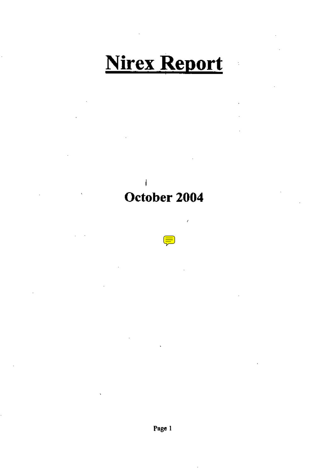# **Nirex Report**

ś,

I October 2004

 $\left(\frac{1}{\sqrt{2}}\right)$ 

í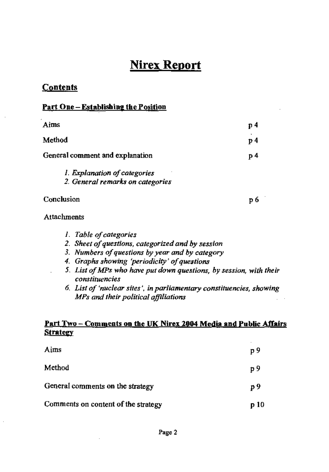# Nirex Report

## **Contents**

#### Part One - Establishing the Position

| Aims                                                             | p 4 |
|------------------------------------------------------------------|-----|
| Method                                                           | p 4 |
| General comment and explanation                                  | p 4 |
| 1. Explanation of categories<br>2. General remarks on categories |     |
| Conclusion                                                       | p 6 |
| Attachments                                                      |     |
| 1. Table of categories                                           |     |

- *2. Sheet of questions, categorized and by session*
- *3. Numbers of questions* by *year* and *by category*
- *4. Graphs showing 'periodicity' of questions*
- *5. List a/MPs who have put down questions, by session, with their constituencies*
- *6. List of 'nuclear sites', in parliamentary constituencies, showing MPa and their political ajjlliations*

#### Part Two - Comments on the UK Nirex 2004 Media and Public Affairs **Strategy**

| Aims                                | p 9   |
|-------------------------------------|-------|
| Method                              | p 9   |
| General comments on the strategy    | p 9   |
| Comments on content of the strategy | p 10. |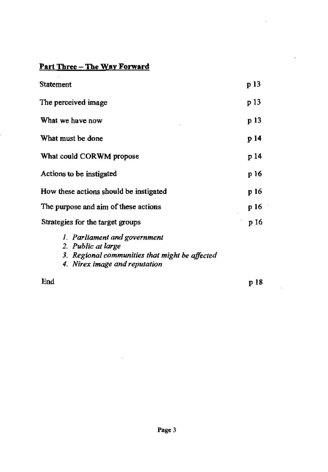## Part Three - The Way Forward

 $\cdot$ 

| Statement                                      | p 13 |
|------------------------------------------------|------|
| The perceived image                            | p 13 |
| What we have now                               | p 13 |
| What must be done                              | p 14 |
| What could CORWM propose                       | p 14 |
| Actions to be instigated                       | p 16 |
| How these actions should be instigated         | p 16 |
| The purpose and aim of these actions           | p 16 |
| Strategies for the target groups               | р 16 |
| 1. Parliament and government                   |      |
| 2. Public at large                             |      |
| 3. Regional communities that might be affected |      |
| 4. Nirex image and reputation                  |      |
| End                                            | p 18 |

pl8

 $\ddot{\phantom{a}}$ 

 $\ddot{\phantom{a}}$ 

 $\overline{\phantom{a}}$ 

 $\ddot{\phantom{a}}$ 

 $\bar{a}$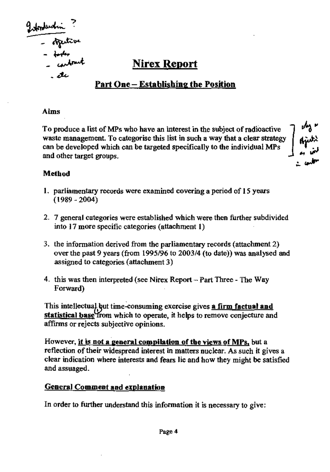Information :<br>- orgentive<br>- tooks .

## Nirex Report

## Part One - Establishing the Position

#### Aims

To produce a list of MPs who have an interest in the subject of radioactive waste management. To categorise this list in such a way that a clear strategy can be developed which can be targeted specifically to the individual MPs and other target groups.

" .....

#### Method

- I. parliamentary records were examined covering a period of 15 years (1989-2004)
- 2. 7 general categories were established which were then further subdivided into 17 more specific categories (attachment I)
- 3. the information derived from the parliamentary records (attachment 2) over the past 9 years (from 1995/96 to 2003/4 (to date)) was analysed and assigned to categories (attachment 3)
- 4. this was then interpreted (see Nirex Report  $-$  Part Three The Way Forward)

This intellectual but time-consuming exercise gives a firm factual and statistical base from which to operate, it helps to remove conjecture and affirms or rejects subjective opinions.

However, it is not a general compilation of the views of MPs, but a reflection of their widespread interest in matters nuclear. As such it gives a clear indication where interests and fears lie and how they might be satisfied and assuaged.

#### General Comment and explanation

In order to further understand this information it is necessary to give: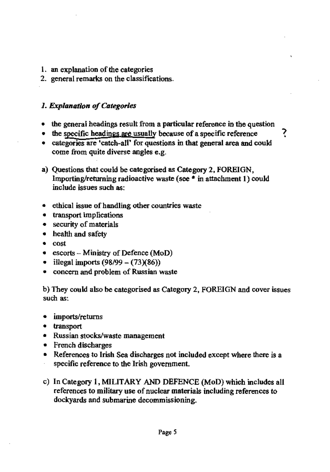- 1. an explanation of the categories
- 2. general remarks on the classifications.

#### *1. Explanation of Categories*

- the general headings result from a particular reference in the question
- the specific headings are usually because of a specific reference  $\frac{1}{2}$
- categories are 'catch-all' for questions in that general area and could come from quite diverse angles e.g.
- a) Questions that could be categorised as Category 2, FOREIGN, Importing/returning radioactive waste (see  $*$  in attachment 1) could include issues such as:
- ethical issue of handling other countries waste
- transport implications
- security of materials
- health and safety
- cost
- escorts  $-$  Ministry of Defence (MoD)
- illegal imports (98/99 (73)(86))
- concern and problem of Russian waste

b) They could also be categorised as Category 2, FOREIGN and cover issues such as:

- imports/returns
- transport
- Russian stocks/waste management
- French discharges
- References to Irish Sea discharges not included except where there is a specific reference to the Irish government.
- c) In Category I, MIUTARY AND DEFENCE (MoD) which includes all references to military use of nuclear materials including references to dockyards and submarine decommissioning.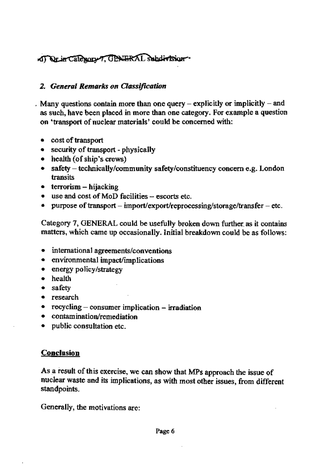## of Orier Category 7. CENTERAL Subdivision

## *2. General Remarks on Classification*

. Many questions contain more than one query  $-$  explicitly or implicitly  $-$  and as such, have been placed in more than one category. For example a question on 'transport of nuclear materials' could be concerned with:

- cost of transport
- security of transport physically
- health (of ship's crews)
- safety technically/community safety/constituency concern e.g. London transits
- terrorism hijacking
- $\bullet$  use and cost of MoD facilities  $-$  escorts etc.
- purpose of transport import/export/reprocessing/storage/transfer etc.

Category 7, GENERAL could be usefully broken down further, as it contains matters, which came up occasionally. Initial breakdown could be as follows:

- international agreements/conventions
- environmental impact/implications
- energy policy/strategy
- health
- safety
- research
- recycling consumer implication irradiation
- contamination/remediation
- public consultation etc.

## **Conclusion**

As a result of this exercise, we can show that MPs approach the issue of nuclear waste and its implications, as with most other issues, from different standpoints.

Generally, the motivations are: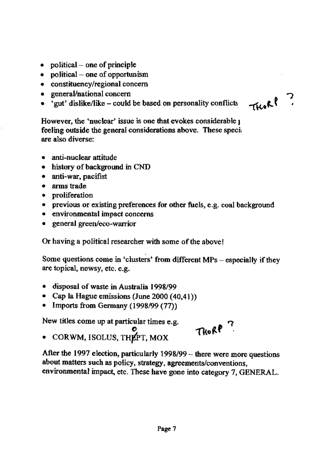- political  $-$  one of principle
- political  $-$  one of opportunism
- constituency/regional concern
- general/national concern
- $\bullet$  'gut' dislike/like could be based on personality conflicts

THORP ?

However, the 'nuclear' issue is one that evokes considerable  $\iota$ feeling outside the general considerations above. These sped are also diverse:

- anti~nuclear attitude
- history of background in CND
- anti-war, pacifist
- arms trade
- proliferation
- previous or existing preferences for other fuels, e.g. coal background
- environmental impact concerns
- general green/eoo-warrior

Or having a political researcher with some of the above!

Some questions come in 'clusters' from different MPs - especially if they are topical, newsy, etc. e.g.

- disposal of waste in Australia 1998/99
- Cap la Hague emissions (June 2000 (40,41)
- Imports from Germany (1998/99 (77))

New titles come up at particular times e.g.

Thorp<sup>7</sup>

o  $\bullet$  CORWM, ISOLUS, THEPT, MOX

After the 1997 election, particularly 1998/99 - there were more questions about matters such as policy, strategy, agreements/conventions, environmental impact, etc. These have gone into category 7, GENERAL.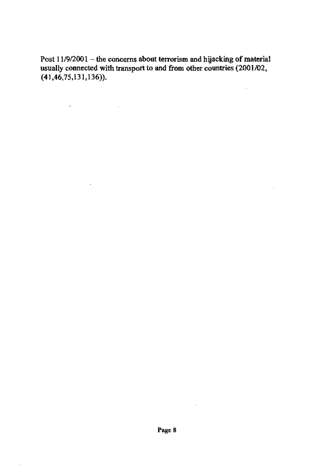Post 11/9/2001 – the concerns about terrorism and hijacking of material usually connected with transport to and from other countries (2001/02,  $(41, 46, 75, 131, 136)$ ).

 $\mathbf{u} = \mathbf{u} \times \mathbf{u}$  , where  $\mathbf{u} = \mathbf{u} \times \mathbf{u}$ 

 $\mathcal{L}^{\mathcal{L}}$ 

 $\cdot$ 

 $\bar{z}$ 

 $\mathcal{L}$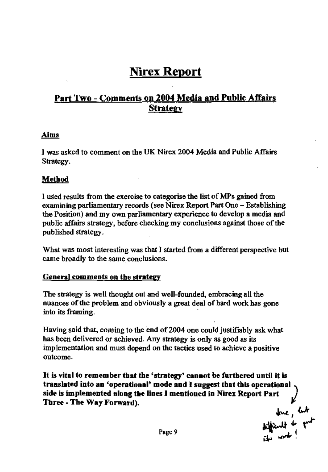# Nirex Report

## Part Two - Comments on 2004 Media and Public Affairs **Strategy**

#### Aims

I was asked to comment on the UK Nirex 2004 Media and Public Affairs Strategy.

#### Method

1 used results from the exercise to categorise the list of MPs gained from examining parliamentary records (see Nirex Report Part One - Establishing the Position) and my own parliamentary experience to develop a media and public affairs strategy, before checking my conclusions against those of the published strategy.

What was most interesting was that J started from a different perspective but came broadly to the same conclusions.

#### General comments on the strategy

The strategy is well thought out and well-founded, embracing all the nuances of the problem and obviously a great deal of hard work has gone into its framing.

Having said that, coming to the end of2oo4 one could justifiably ask what has been delivered or achieved. Any strategy is only as good as its implementation and must depend on the tactics used to achieve a positive outcome.

It is vital to remember that the 'strategy' cannot be furthered until it is translated into an 'operational' mode and I suggest tbat tbls operational side is implemented along the lines I mentioned in Nirex Report Part Three - The Way Forward).  $\mu$ <br> $\mu$ ,  $\mu$ 

Page 9  $\frac{m}{r}$  . The mode  $\frac{1}{r}$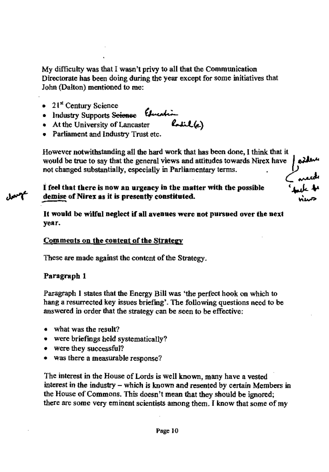My difficulty was that I wasn't privy to all that the Communication Directorate has been doing during the year except for some initiatives that John (Dalton) mentioned to me:

- $21<sup>st</sup>$  Century Science
- Industry Supports Seienee *(Juca*)
- At the University of Lancaster
- Parliament and Industry Trust etc.

However notwithstanding all the hard work that has been done, I think that it would be true to say that the general views and attitudes towards Nirex have would be true to say that the general views and attitudes towards Nirex have not changed substantially, especially in Parliamentary terms.

I feel that there is now an urgency in the matter with the possible demise of Nirex as it is presently constituted.

It would be wilful neglect if aU avenues were not pursued over the next year.

## Comments on the content of the Strategy

These are made against the content of the Strategy.

## Paragrapb 1

Paragraph 1 states that the Energy Bill was 'the perfect hook on which to hang a resurrected key issues briefing'. The following questions need to be answered in order that the strategy can be seen to be effective:

- what was the result?
- were briefings held systematically?
- were they successful?
- was there a measurable response?

The interest in the House of Lords is well known, many have a vested interest in the industry - which is known and resented by certain Members in the House of Commons. This doesn't mean that they should be ignored; there are some very eminent scientists among them. I know that some of my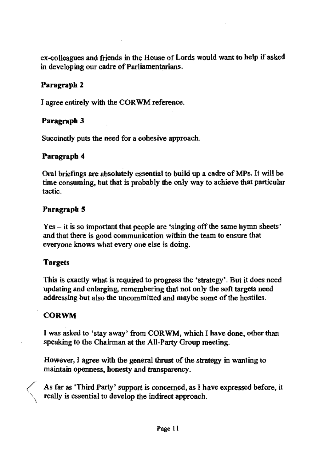ex-colleagues and friends in the House of Lords would want to help if asked in developing our cadre of Parliamentarians.

## Paragraph 2

I agree entirely with the CORWM reference.

## Paragraph 3

Succinctly puts the need for a cohesive approach.

## Paragrapb 4

Oral briefings are absolutely essential to build up a cadre of MPs. It will be time consuming, but that is probably the only way to achieve that particular tactic.

#### Paragraph 5

 $Yes - it$  is so important that people are 'singing off the same hymn sheets' and that there is good communication within the team to ensure that everyone knows what every one else is doing.

## Targets

This is exactly what is required to progress the ·strategy'. But it does need updating and enlarging, remembering that not only the soft targets need addressing but also the uncommitted and maybe some of the hostiles.

## CORWM

I was asked to 'stay away' from CORWM, which I have done, other than speaking to the Chairman at the All-Party Group meeting.

However, I agree with the general thrust of the strategy in wanting to maintain openness, honesty and transparency.

( $\angle$  As far as 'Third Party' support is concerned, as I have expressed before, it really is essential to develop the indirect approach.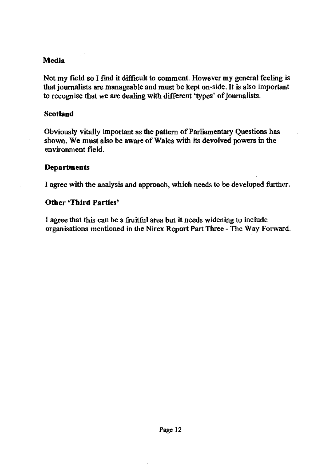#### Media

Not my field so I find it difficult to comment. However my general feeling is that journalists are manageable and must be kept on-side. It is also important to recognise that we are dealing with different 'types' of journalists.

#### **Scotland**

Obviously vitally important as the pattern of Parliamentary Questions has shown. We must also be aware of Wales with its devolved powers in the environment field.

#### **Departments**

I agree with the analysis and approach, which needs to be developed ftuther.

#### Other 'Third Parties'

I agree that this can be a fruitful area but it needs widening to include organisations mentioned in the Nirex Report Part Three - The Way Forward.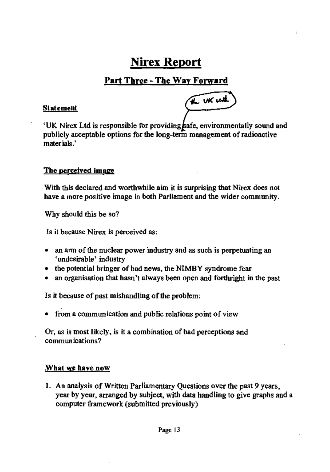## Nirex Report

## Part Tbree - The Way FOrward

#### Statement

the UK with

'UK Nirex Ltd is responsible for providing afe, environmentally sound and publicly acceptable options for the long-term management of radioactive materials.'

#### The perceived image

With this declared and worthwhile aim it is surprising that Nirex does not have a more positive image in both Parliament and the wider community.

Why should this be so?

Is it because Nirex is perceived as:

- an arm of the nuclear power industry and as such is perpetuating an 'undesirable' industry
- the potential bringer of bad news, the NIMBY syndrome fear
- an organisation that hasn't always been open and forthright in the past

Is it because of past mishandling of the problem:

• from a communication and public relations point of view

Or, as is most likely, is it a combination of bad perceptions and communications?

#### What we have now

J. An analysis of Written Parliamentary Questions over the past 9 years, year by year, arranged by subject, with data handling to give graphs and a computer framework (submitted previously)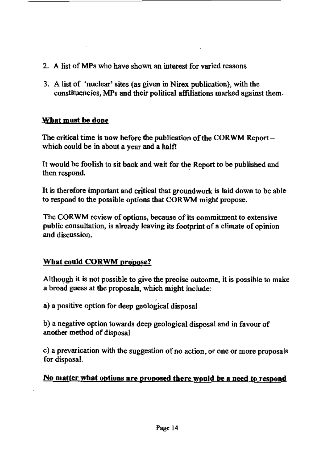- 2. A list of MPs who have shown an interest for varied reasons
- 3. A list of 'nuclear' sites (as given in Nirex publication), with the constituencies, MPs and their political affiliations marked against them.

-------------------------

## What must be done

The critical time is now before the publication of the CORWM Report $$ which could be in about a year and a half!

It would be foolish to sit back and wait for the Report to be published and then respond.

It is therefore important and critical that groundwork is laid down to be able to respond to the possible options that CORWM might propose.

The CQRWM review of options., because of its commitment to extensive public consultation, is already leaving its footprint of a climate of opinion and discussion.

## What could CORWM propose?

Although it is not possible to give the precise outcome, it is possible to make a broad guess at the proposals, which might include:

a) a positive option for deep geological disposal

b) a negative option towards deep geological disposal and in favour of another method of disposal

c) a prevarication with the suggestion of no action, or one or more proposals for disposal.

## No matter what options are proposed there would be a need to respond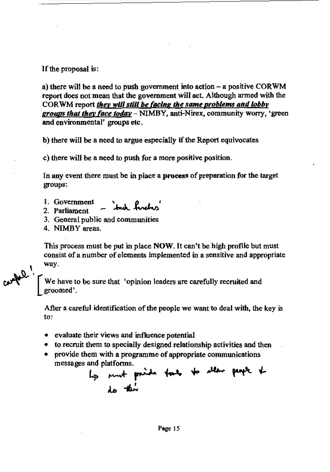If the proposal is:

a) there will be a need to push government into action  $-$  a positive CORWM report does not mean that the government will act. Although armed with the CORWM report they will still be facing the same problems and lobby groups that they face today - NIMBY, anti-Nirex, community worry, 'green and environmental' groups etc.

b) there will be a need to argue especially if the Report equivocates

c) there will be a need to push for a more positive position.

In any event there must be in place a process of preparation for the target groups:

- 1. Government ind fuchs
- 2. Parliament
- 3. General public and communities
- 4. NIMBY areas.

This process must be put in place NOW. It can't be high profile but must consist of a number of elements implemented in a sensitive and appropriate , way.

We have to be sure that 'opinion leaders are carefully recruited and groomed' .

After a careful identification of the people we want to deal with, the key is to:

- evaluate their views and influence potential
- to recruit them to specially designed relationship activities and then
- provide them with a programme of appropriate communications messages and platforms.

nd platforms.<br>Ly must paids took to slew people to ... -IA/..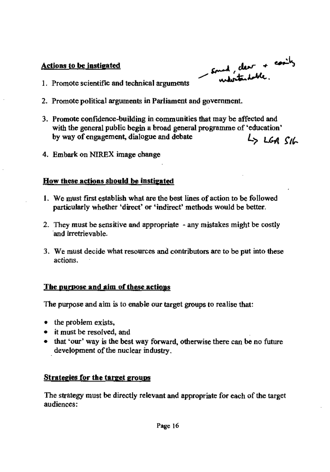## Actions to be instigated

Sound, clear + costly

- 1. Promote scientific and technical arguments
- 2. Promote political arguments in Parliament and government.
- 3. Promote confidence-building in communities that may be affected and with the general public begin a broad general programme of 'education' by way of engagement, dialogue and debate  $L_$   $L_6$   $R_6$
- 4. Embark on NIREX image change

## How these actions should be instigated

- 1. We must first establish what are the best lines of action to be followed particularly whether 'direct' or 'indirect' methods would be better.
- 2. They must be sensitive and appropriate any mistakes might be costly and irretrievable.
- 3. We must decide what resources and contributors are to be put into these actions.

## The purpose and aim of these actions

The purpose and aim is to enable our target groups to realise that:

- the problem exists,
- it must be resolved, and
- that 'our' way is the best way forward, otherwise there can be no future development of the nuclear industry.

## Strategies for the target groups

The strategy must be directly relevant and appropriate for each of the target audiences: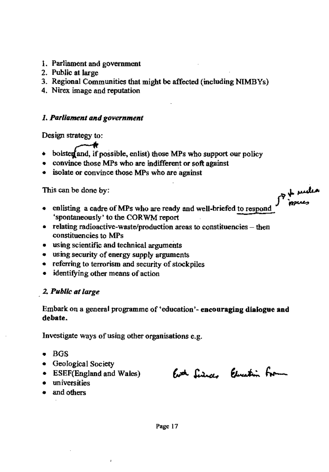- I. Parliament and government
- 2. Public at large
- 3. Regional Communities that might be affected (including NIMBYs)
- 4. Nirex image and reputation

## *1. ParUament and government*

Design strategy to:

- $\bullet$  bolster and, if possible, enlist) those MPs who support our policy
- convince those MPs who are indifferent or soft against
- isolate or convince those MPs who are against

This can be done by:

- $\bullet$  enlisting a cadre of MPs who are ready and well-briefed to respond 'spontaneously' to the CORWM report
- $\bullet$  relating radioactive-waste/production areas to constituencies then constituencies to MPs
- using scientific and technical arguments
- using security of energy supply arguments
- referring to terrorism and security of stockpiles
- identitying other means of action

## . 2. *Public* fit *large*

Embark on a general programme of 'education'- encouraging dialogue and debate.

Investigate ways of using other organisations e.g.

- BGS
- Geological Society
- 
- universities
- and others

• ESEF(England and Wales) Erth Lincoln Elevation From

of mules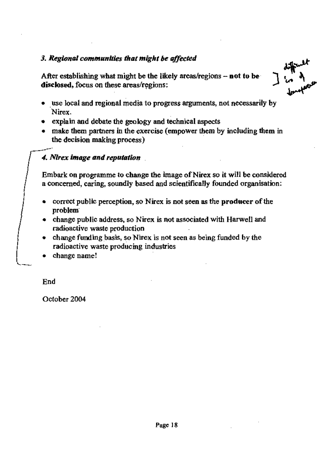## *3. RegumaJ communities that might be affected*

After establishing what might be the likely areas/regions  $-$  not to be disclosed, focus on these areas/regions:



- explain and debate the geology and technical aspects
- make them partners in the exercise (empower them by including them in the decision making process)

## *4. Nlrex image and reputation*

Embark on programme to change the image of Nirex so it will be considered a concerned, caring, soundly based and scientifically founded organisation:

- correct public perception, so Nirex is not seen as the producer of the problem'
- change public address, so Nirex is not associated with Harwell and radioactive waste production
- change funding basis, so Nirex is not seen as being funded by the radioactive waste producing industries
- change name!

End

October 2004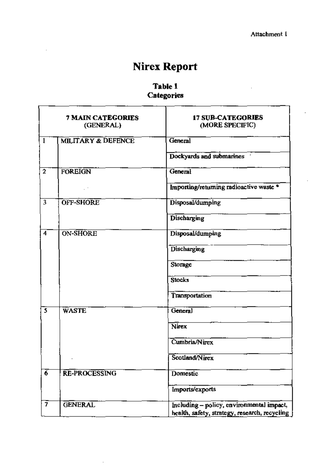# **Nirex Report**

## Table 1 Categories

|                         | <b>7 MAIN CATEGORIES</b><br>(GENERAL) | <b>17 SUB-CATEGORIES</b><br>(MORE SPECIFIC)   |  |  |  |  |  |  |
|-------------------------|---------------------------------------|-----------------------------------------------|--|--|--|--|--|--|
| $\mathbf{1}$            | <b>MILITARY &amp; DEFENCE</b>         | General                                       |  |  |  |  |  |  |
|                         |                                       | Dockyards and submarines                      |  |  |  |  |  |  |
| $\overline{2}$          | <b>FOREIGN</b>                        | General                                       |  |  |  |  |  |  |
|                         |                                       | Importing/returning radioactive waste *       |  |  |  |  |  |  |
| 3                       | <b>OFF-SHORE</b>                      | Disposal/dumping                              |  |  |  |  |  |  |
|                         |                                       | Discharging                                   |  |  |  |  |  |  |
| $\overline{4}$          | ON-SHORE                              | Disposal/dumping                              |  |  |  |  |  |  |
|                         |                                       | Discharging                                   |  |  |  |  |  |  |
|                         |                                       | Storage                                       |  |  |  |  |  |  |
|                         |                                       | Stocks                                        |  |  |  |  |  |  |
|                         |                                       | Transportation                                |  |  |  |  |  |  |
| $\overline{\mathbf{5}}$ | <b>WASTE</b>                          | General                                       |  |  |  |  |  |  |
|                         |                                       | Nirex                                         |  |  |  |  |  |  |
|                         |                                       | Cumbria/Nirex                                 |  |  |  |  |  |  |
|                         |                                       | Scotland/Nirex                                |  |  |  |  |  |  |
| $\overline{6}$          | <b>RE-PROCESSING</b>                  | <b>Domestic</b>                               |  |  |  |  |  |  |
|                         |                                       | Imports/exports                               |  |  |  |  |  |  |
| 7                       | <b>GENERAL</b>                        | Including - policy, environmental impact,     |  |  |  |  |  |  |
|                         |                                       | health, safety, strategy, research, recycling |  |  |  |  |  |  |

÷.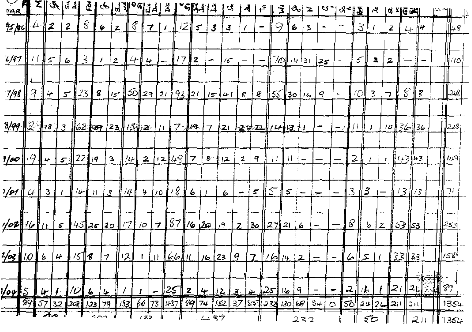| 8<br>$\cal{E}$<br>12∥<br>$\boldsymbol{z}$<br>9<br><u>25 pc (</u><br>412<br>6<br>3<br>7<br>$\mathcal{F}$<br>3.<br>6<br>$\boldsymbol{z}$<br>3<br>$\boldsymbol{3}$<br>$\overline{\phantom{m}}$<br>∦⊬<br>z<br>$+$<br>6/97<br>3<br>7⊘∥<br>1/7<br>4 <sub>1</sub><br>∦≲⊺<br>12<br>$\boldsymbol{z}$<br>$15 -$<br>6<br>$\left  \right $<br>14<br>5<br>а<br>$\boldsymbol{z}$<br>٠<br>∣ 3।<br>125<br>$\overline{\phantom{m}}$<br>8<br>ૐ∦<br>$\frac{7}{48}$<br>123<br>8<br>7이<br>   8<br>93 21<br>3<br>4<br>$\mathcal{S}$<br>29<br>2t<br>$\ 55\ 30\ $ 16<br>- ا<br>8<br>9<br>8<br>15<br>41<br>$\overline{\phantom{a}}$<br>3/99<br>∦2{∦+8   3 <br>162137 23114 2 11 7 14 1<br>10  36  36<br><u> 7  21  建計空  化性液 担</u><br>÷<br>$-2$ (1)<br>22<br><u>12148  </u><br>2<br>ドチミルヨ<br>3<br>$\overline{\phantom{a}}$<br>9<br>丑子<br>$ \psi $<br>$\mathbf{z}$<br>$8 - 112$<br>Ħ<br>12<br>19<br>$\mu$<br>$5 \frac{1}{2}$<br>$\overline{\phantom{m}}$<br>410181<br>$\mathcal{S}$<br>(3)<br>З<br>3<br>'/⊬i<br>li 13 I<br>#14<br>$\boldsymbol{\mathcal{Z}}$<br>13<br>6<br>$5 -$<br>U<br>$\mathcal{S}$<br>$-1$<br>JI.<br>6<br>$\overline{\phantom{m}}$<br>$\overline{\phantom{m}}$<br>, <del>and</del><br>87<br>∥ ອ<br> l <br><u>45 25 20 17</u><br>$1/6$ $20/9$<br>.5 <u>2∥ج</u> ک<br>$\overline{\mathbf{7}}$<br>10 <sub>o</sub><br>$\pmb{\mathcal{S}}$<br>30 <sub>o</sub><br>  27  21 <br>6<br>$\mathbf{z}$<br><b>2</b><br><u>ه :</u><br>$\frac{1}{2}$<br>4158<br><u>  33    33  </u><br><u> +  (11   66   11  </u><br>$1/6$ 23 9 7 $\frac{1}{6}$ 14 2 -<br>12<br>$1   z    z    -$<br> <br>  89<br>ત્વાનુ <sub>ક</sub><br>ן ≀ 2∥<br> 25    2    4   <br>1251619<br>2  b  <br><u>IS Lu</u><br> /O <br>1213<br>₽<br>6<br>華<br>车<br>$60$ 73 437 89 74 152 37 85 232 130 68<br>795732<br>$202$ $123$ $79$ $133$<br>$3+$<br>[56]24 26 21   21<br>$\circ$ | $\frac{1}{\sqrt{2}}\sum_{i=1}^{N} \sum_{i=1}^{N} \left \frac{\partial}{\partial x_i}\right  \left \frac{\partial}{\partial x_i}\right $ |  |  | ু ∤ | $\bm{\phi}$ | $\mathbb{E}$ is $\vert$ | $^{\circ}$ बाउँ से । उ |  | គង្គរ $ $ ង | U, | $\mathcal{A}$ | $\mathsf{r}^{\mathsf{y}}$ | $\mathbf{E}[\mathbf{e}^{\mathbf{e}}]$ | $a$ -1 | ?¦ ⊰ हैं | A | ० माट ब्रम |  |      |
|-----------------------------------------------------------------------------------------------------------------------------------------------------------------------------------------------------------------------------------------------------------------------------------------------------------------------------------------------------------------------------------------------------------------------------------------------------------------------------------------------------------------------------------------------------------------------------------------------------------------------------------------------------------------------------------------------------------------------------------------------------------------------------------------------------------------------------------------------------------------------------------------------------------------------------------------------------------------------------------------------------------------------------------------------------------------------------------------------------------------------------------------------------------------------------------------------------------------------------------------------------------------------------------------------------------------------------------------------------------------------------------------------------------------------------------------------------------------------------------------------------------------------------------------------------------------------------------------------------------------------------------------------------------------------------------------------------------------------------------------------------------------------------------------------------------------------------|-----------------------------------------------------------------------------------------------------------------------------------------|--|--|-----|-------------|-------------------------|------------------------|--|-------------|----|---------------|---------------------------|---------------------------------------|--------|----------|---|------------|--|------|
|                                                                                                                                                                                                                                                                                                                                                                                                                                                                                                                                                                                                                                                                                                                                                                                                                                                                                                                                                                                                                                                                                                                                                                                                                                                                                                                                                                                                                                                                                                                                                                                                                                                                                                                                                                                                                             |                                                                                                                                         |  |  |     |             |                         |                        |  |             |    |               |                           |                                       |        |          |   |            |  | 48   |
| 1/00<br><u>r/o1</u><br>$\frac{1}{2}$<br>$\frac{2}{9}$ 10 $6$<br>$\omega$                                                                                                                                                                                                                                                                                                                                                                                                                                                                                                                                                                                                                                                                                                                                                                                                                                                                                                                                                                                                                                                                                                                                                                                                                                                                                                                                                                                                                                                                                                                                                                                                                                                                                                                                                    |                                                                                                                                         |  |  |     |             |                         |                        |  |             |    |               |                           |                                       |        |          |   |            |  | 110  |
|                                                                                                                                                                                                                                                                                                                                                                                                                                                                                                                                                                                                                                                                                                                                                                                                                                                                                                                                                                                                                                                                                                                                                                                                                                                                                                                                                                                                                                                                                                                                                                                                                                                                                                                                                                                                                             |                                                                                                                                         |  |  |     |             |                         |                        |  |             |    |               |                           |                                       |        |          |   |            |  | 248  |
|                                                                                                                                                                                                                                                                                                                                                                                                                                                                                                                                                                                                                                                                                                                                                                                                                                                                                                                                                                                                                                                                                                                                                                                                                                                                                                                                                                                                                                                                                                                                                                                                                                                                                                                                                                                                                             |                                                                                                                                         |  |  |     |             |                         |                        |  |             |    |               |                           |                                       |        |          |   |            |  | 228; |
|                                                                                                                                                                                                                                                                                                                                                                                                                                                                                                                                                                                                                                                                                                                                                                                                                                                                                                                                                                                                                                                                                                                                                                                                                                                                                                                                                                                                                                                                                                                                                                                                                                                                                                                                                                                                                             |                                                                                                                                         |  |  |     |             |                         |                        |  |             |    |               |                           |                                       |        |          |   |            |  | ∦≀49 |
|                                                                                                                                                                                                                                                                                                                                                                                                                                                                                                                                                                                                                                                                                                                                                                                                                                                                                                                                                                                                                                                                                                                                                                                                                                                                                                                                                                                                                                                                                                                                                                                                                                                                                                                                                                                                                             |                                                                                                                                         |  |  |     |             |                         |                        |  |             |    |               |                           |                                       |        |          |   |            |  | ∦⊤≀  |
|                                                                                                                                                                                                                                                                                                                                                                                                                                                                                                                                                                                                                                                                                                                                                                                                                                                                                                                                                                                                                                                                                                                                                                                                                                                                                                                                                                                                                                                                                                                                                                                                                                                                                                                                                                                                                             |                                                                                                                                         |  |  |     |             |                         |                        |  |             |    |               |                           |                                       |        |          |   |            |  | 253  |
|                                                                                                                                                                                                                                                                                                                                                                                                                                                                                                                                                                                                                                                                                                                                                                                                                                                                                                                                                                                                                                                                                                                                                                                                                                                                                                                                                                                                                                                                                                                                                                                                                                                                                                                                                                                                                             |                                                                                                                                         |  |  |     |             |                         |                        |  |             |    |               |                           |                                       |        |          |   |            |  |      |
|                                                                                                                                                                                                                                                                                                                                                                                                                                                                                                                                                                                                                                                                                                                                                                                                                                                                                                                                                                                                                                                                                                                                                                                                                                                                                                                                                                                                                                                                                                                                                                                                                                                                                                                                                                                                                             |                                                                                                                                         |  |  |     |             |                         |                        |  |             |    |               |                           |                                       |        |          |   |            |  |      |
| 201<br>122<br>437<br>50                                                                                                                                                                                                                                                                                                                                                                                                                                                                                                                                                                                                                                                                                                                                                                                                                                                                                                                                                                                                                                                                                                                                                                                                                                                                                                                                                                                                                                                                                                                                                                                                                                                                                                                                                                                                     |                                                                                                                                         |  |  |     |             |                         |                        |  |             |    |               |                           |                                       |        |          |   |            |  | 1354 |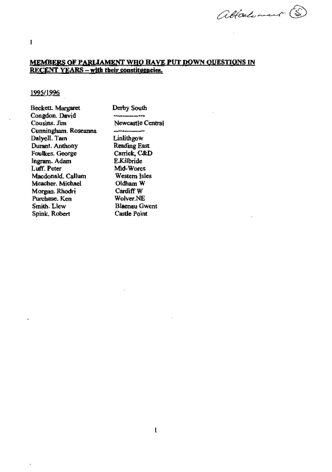# MEMBERS OF PARLIAMENT WHO HAVE PUT DOWN QUESTIONS IN RECENT YEARS – with their constituencies.

attachement (S

I

#### 1995/1996

| Derby South           |
|-----------------------|
|                       |
| Newcastle Central     |
|                       |
| Linlithgow            |
| Reading East          |
| Carrick, C&D          |
| E.Kilbride            |
| Mid-Wores             |
| Western Isles         |
| Oldham W              |
| Cardiff W             |
| Wolver NE             |
| Bl <b>aenau</b> Gwent |
| Castle Point          |
|                       |

ä,

÷.

 $\overline{\phantom{a}}$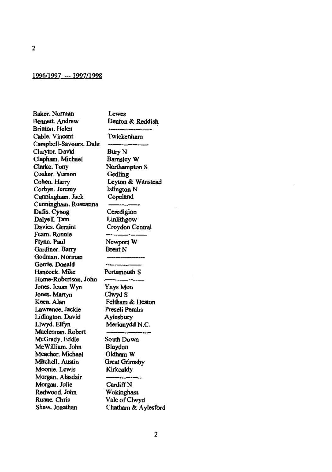#### 1996/1997 -- 1997/1998

Baker. Norman Bennett. Andrew Brinton. Helen Cable. Vincent Campbell-Savours. Dale Chaytor. David Clapham. Michael Clarke. Tony Cooker. Vernon Cohen. Harry Corbyn. Jeremy Cunningham. Jack Cunningham. Roseanna Dafis. Cynog DalyelL Tam Davies. Geraint Fearn. Ronnie Flynn. Paul Gardiner. Barry Godman. Norman Gorrie. Donald Hancock. Mike Home-Robertson. John Jones. leuan Wyn Jones. Martyn Keen. Alan Lawrence. Jackie Lidington. David Llwyd. Elfyn Maclennan. Robert McGrady. Eddie McWilliam. John Meachcr. Michael Mitchell. Austin Moonie. Lewis Morgan. Alasdair Morgan. Julie Redwood. John Ruane. Chris Shaw. Jonathan

Lewes Denton & Reddish Twickenharn Bury N Barnsley W Northampton S Gedling Leyton & Wanstead Islington N Copeiand Ceredigion Linlithgow Croydon Central Newport W Brent N Portsmouth S Ynys Mon Clwyd S Feltham & Heston Preseli Pembs Aylesbury Merionydd N.C. South Down Blaydon Oldham W Great Grimsby Kirkcaldy Cardiff<sub>N</sub>

Wokingham Vale ofClwyd Chatham & Aylesford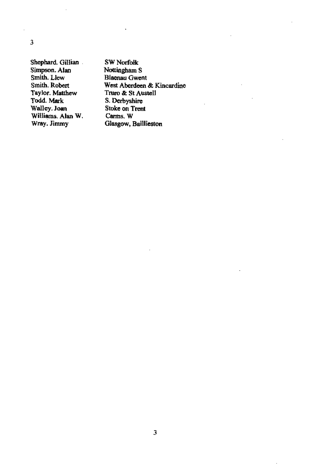Shephard. Gillian Simpson. Alan Smith. Llew Smith. Robert Taylor. Matthew Todd. Mark Walley. Joan Williams. Alan W. Wray. Jimmy

SWNorfolk Nottingham S Blaenau Gwen! West Aberdeen & Kincardine Truro &: 8t Austell S. Derbyshire Stoke on Trent Carms. W Glasgow, Baillieston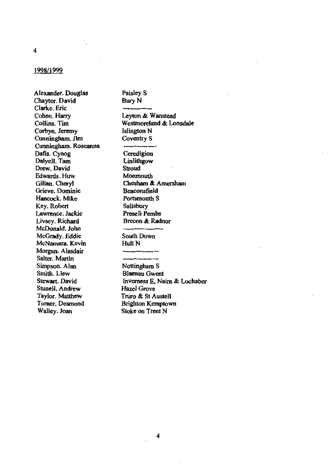#### 1998/1999

Alexander. Douglas Chaytor, David Clarke, Eric Cohen, Harry Collins. Tim Corbyn, Jeremy Cunningham, Jim Cunningham. Roseanna Dafis. Cynog Dalyell. Tam Drew. David Edwards. Huw Gillan, Cheryl Grieve, Dominic Hancock. Mike Key, Robert Lawrence. Jackie Livsey, Richard McDonald. John McGrady. Eddie McNamara. Kevin Morgan. Alasdair Salter, Martin Simpson. Alan Smith. Llew Stewart. David Stunell, Andrew Taylor. Matthew Turner. Desmond Walley. Joan

Paisley S Bury N Leyton & Wanstead Westmoreland & Lonsdale **Islington N** Coventry S Ceredigion Linlithgow Stroud Monmouth Chesham & Amersham Beaconsfield Portsmouth S Salisbury Preseli Pembs Brecon & Radnor  $\overline{\phantom{a}}$ South Down Hull N Nottingham S **Blaenau Gwent** Inverness E, Naim & Lochaber Hazel Grove Truro & St Austell Brighton Kemptown Stoke on Trent N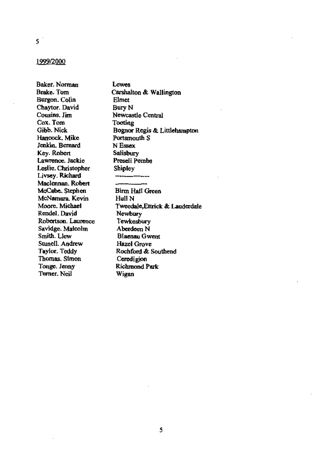#### 1999/2000

Baker. Norman Brake. Tom Burgon. Colin Chaytor. David Cousins, Jim Cox. Tom Gibb. Nick Hancock. Mike Jenkin, Bernard Key. Robert Lawrence. Jackie Leslie. Christopher Livsey. Richard Maclennan, Robert McCabe. Stephen McNamara, Kevin Moore, Michael Rendel. David Robertson. Laurence Savidge. Malcolm Smith. Llew Stunell. Andrew Taylor. Teddy Thomas. Simon Tonge. Jenny Turner. Neil

Lewes Carshalton & Wallington Elmet **Bury N** Newcastle Central Tooting Bognor Regis & Littlehampton Portsmouth S N Essex Salisbury Preseli Pembs Shipley **Birm Hall Green** Hull N Tweedale.Ettrick & Lauderdale Newbury Tewkesbury Aberdeen N Blaenau Gwent Hazel Grove Rochford & Southend Ceredigion **Richmond Park** Wigan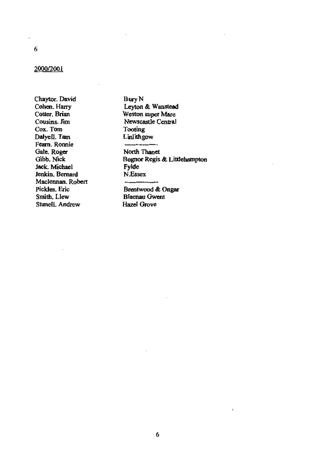l,

#### 2000/2001

Chaytor. David Cohen. Harry Cotter, Brian Cousins. Jim Cox. Tom Dalyell. Tam Fearn. Ronnie Gale, Roger Gibb, Nick Jack. Michael Jenkin, Bernard Maclennan, Robert Pickles, Eric Smith, Llew Stunell, Andrew

**Bury N** Leyton & Wanstead Weston super Mare Newscastle Central Tooting Linlithgow

--

 $\overline{\phantom{a}}$ 

North Thanet Bognor Regis & Littlehampton Fylde N.Essex

Brentwood & Ongar **Blaenau Gwent** Hazel Grove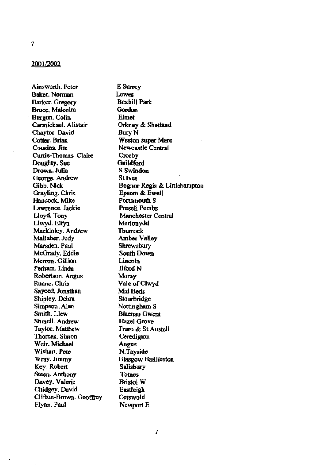#### 2001/2002

Ainsworth. Peter Baker. Norman Barker. Gregory<br>Bruce. Malcolm Burgon. Colin Carmichael. Alistair Chaytor. David Cotter. Brian Cousins. Jim Curtis-Thomas. Clain: Doughty. Sue Drown. Julia George. Andrew Gibb. Nick Grayling. Chris Hancock. Mike Lawrence, Jackie Lloyd. Tony Llwyd. Elfyn Mackinley. Andrew Mallaber. Judy Marsden. Paul McGrady. Eddie Merron.Gillian Petbam. Linda Robertson. Angus Ruane. Chris Sayeed, Jonathan Shipley. Debra Simpson. Alan Smith. Llew Stunell. Andrew Taylor. Matthew Thomas. Simon Weir. Michael Wishart. Pete Wmy.Jimmy Key. Robert Steen. Anthony Davey. Valerie Chidgey. David Clifton-Brown. Geoffrey Flynn. Paul

Ń

E Surrey Lewes Bexhill Park<br>Gordon **Elmet** Orkney & Shetland Bury N Weston super Mare Newcastle Central Crosby Guildford S Swindon St lves Bognor Regis & Littlehampton Epsom & Ewell Portsmouth S Preseli Pembs Manchester Central Merionydd Thurrock Amber Valley Shrewsbury South Down Lincoln Ilford N Moray Vale ofClwyd Mid Beds Stourbridge Nottingham S Blaenau Gwent Hazel Grove Truro & St Austell Ceredigion Angus N.Tayside Glasgow Baillieston Salisbury<br>Totnes Bristol W Eastleigh Cotswold Newport E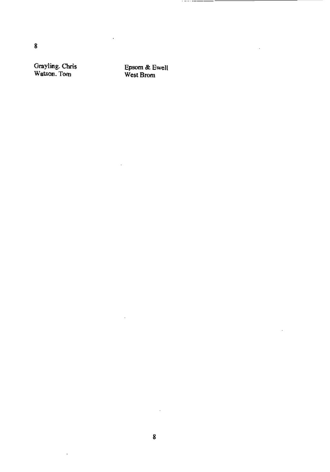Grayling. Chris Watson. Tom

Epsom & Ewell WestBrom

 $\bar{z}$ 

 $\ddot{\phantom{a}}$ 

 $\overline{\phantom{a}}$ 

J,

------------

 $\overline{a}$ 

 $\sim$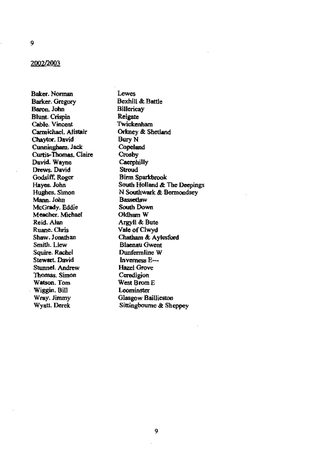#### 2002/2003

Baker. Norman Barker. Gregory Baron, John Blunt. Crispin Cable. Vincent CarmichaeL Alistair Chaytor. David Cunningham. Jack Curtis-Thomas. Claire David. Wayne Drews. David Godsiff. Roger Hayes. John Hughes. Simon Mann. John McGrady. Eddie Meacher. Michael Reid. Alan Ruane. Chris Shaw. Jonathan Smith. Llew Squire. Rachel Stewart. David Stunnel. Andrew Thomas. Simon Watson. Tom Wiggin. Bill Wray. Jimmy Wyatt. Derek

**Lewes** BexhiU &; Battle **Billericay** Reigate Twickenham Orkney &; Shetland Bury N Copeland Crosby **Caerphilly** Stroud Binn Sparkbrook South Holland & The Deepings<br>
N Southwark & Bermondsey<br>
Bassetlaw<br>
South Down<br>
Oldham W N Southwark & Bermondsey<br>Bassetlaw South Down<br>Oldham W Argyll &; Bute Vale ofClwyd Chatham &; Aylesford Blaenau Gwent Dunfermline W Inverness E\_ Hazel Grove Ceredigion West Brom E Leominster Glasgow Baillieston Sittingbourne & Sheppey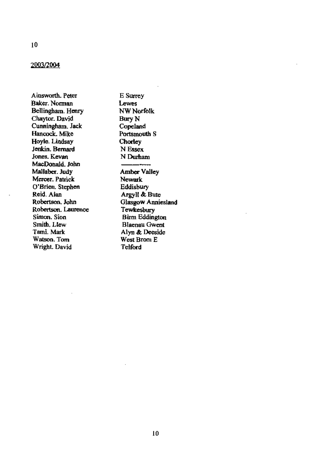#### 2003/2004

Ainsworth, Peter Baker. Norman Bellingham. Henry Chaytor. David Cunningham, Jack Hancock. Mike Hoyle. Lindsay Jenkin, Bernard Jones, Kevan MacDonald, John Mallaber. Judy Mercer. Patrick O'Brien. Stephen Reid. Aian Robertson, John Robertson, Laurence Simon, Sion Smith, Llew Tami. Mark Watson, Tom Wright. David

E Surrey Lewes **NW Norfolk** Bury N Copeland Portsmouth S **Chorley** N Essex N Durham **Amber Valley** Newark Eddisbury Argyll & Bute Glasgow Anniesland Tewkesbury **Birm Eddington** Blaenau Gwent Alyn & Deeside West Brom E **Telford**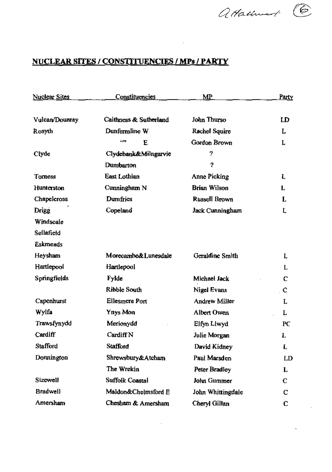attachment C

 $\sim 10^{-1}$ 

## NUCLEAR SITES I CONSTITUENCIES I MPs I **PARTY**

 $\sim 10^{-11}$ 

| <b>Nuclear Sites</b> | <u>Constituencies</u>  | МP                  | Party |  |
|----------------------|------------------------|---------------------|-------|--|
| Vulcan/Dounray       | Caithness & Sutherland | John Thurso         | LD    |  |
| Rosyth               | Dunfermline W          | Rachel Squire       | L     |  |
|                      | 6693<br>E              | Gordon Brown        | L     |  |
| Ciyde                | Clydebank&Milngarvie   | 2                   |       |  |
|                      | Dumbarton              | Ÿ.                  |       |  |
| Tomess               | East Lothian           | Anne Picking        | L     |  |
| Hunterston           | Cunningham N           | <b>Brian Wilson</b> | L     |  |
| Chapelcross          | Dumfries               | Russell Brown       | L     |  |
| Drigg                | Copeland               | Jack Cunningham     | Ļ     |  |
| Windscale            |                        |                     |       |  |
| Sellafield           |                        |                     |       |  |
| <b>Eskmeads</b>      |                        |                     |       |  |
| Heysham              | Morecambe&Lunesdale    | Geraldine Smith     | r     |  |
| Hartlepool           | Hartlepool             |                     | L     |  |
| Springfields         | <b>Fylde</b>           | Michael Jack        | C     |  |
|                      | Ribble South           | Nigel Evans         | . C   |  |
| Capenhurst           | Ellesmere Port         | Andrew Miller       | Ļ     |  |
| Wylfa                | Ynys Mon               | Albert Owen         | L     |  |
| Trawsfynydd          | Merionydd              | Elfyn Llwyd         | PC    |  |
| Cardiff              | Cardiff N              | Julie Morgan        | L     |  |
| Stafford             | <b>Stafford</b>        | David Kidney        | L     |  |
| Donnington           | Shrewsbury&Atcham      | Paul Marsden        | LD    |  |
|                      | The Wrekin             | Peter Bradley       | L     |  |
| Sizewell             | Suffolk Coastal        | John Gummer         | С     |  |
| <b>Bradwell</b>      | Maldon&Chelmsford E    | John Whittingdale   | С     |  |
| Amersham             | Chesham & Amersham     | Cheryl Gillan       | С     |  |

 $\sim 100$  km s  $^{-1}$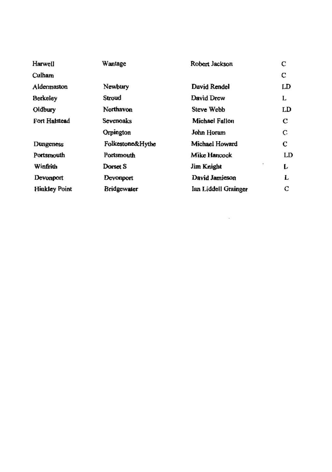| <b>Harwell</b>       | Wantage            | Robert Jackson       | С  |
|----------------------|--------------------|----------------------|----|
| Culham               |                    |                      | с  |
| Aldermaston          | Newbury            | David Rendel         | LD |
| Berkeley             | Stroud             | David Drew           | L  |
| Oldbury              | Northavon          | Steve Webb           | LD |
| Fort Halstead        | Sevenoaks          | Michael Fallon       | С  |
|                      | Orpington          | John Horam           | С  |
| Dungeness            | Folkestone&Hythe   | Michael Howard       | С  |
| Portsmouth           | Portsmouth         | Mike Hancock         | LD |
| Winfrith             | Dorset S           | Jim Knight           | Į, |
| Devonport            | Devonport          | David Jamieson       | L  |
| <b>Hinkley Point</b> | <b>Bridgewater</b> | Ian Liddell Grainger | С  |

 $\label{eq:2.1} \mathcal{L}(\mathcal{L}^{\text{max}}_{\mathcal{L}}(\mathcal{L}^{\text{max}}_{\mathcal{L}}(\mathcal{L}^{\text{max}}_{\mathcal{L}}(\mathcal{L}^{\text{max}}_{\mathcal{L}^{\text{max}}_{\mathcal{L}}}))))$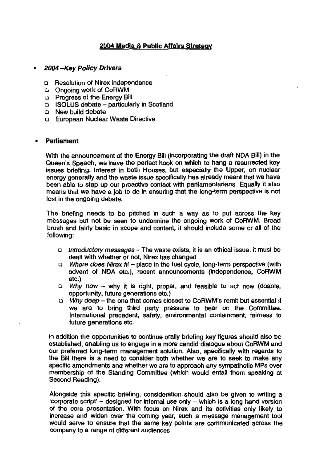#### 2004 Media & Public Affairs Strategv

#### • 2004 -Key Policy Drivers

- <sup>Q</sup>Resolution of Nirex independence
- Cl Ongo1ng work of CoRWM
- Cl Progress of the Energy Bill
- <sup>Q</sup>ISOlUS debate particularly in Scotland
- <sup>Q</sup>New build debate
- <sup>Q</sup>European Nuclear Waste Directive

#### • Parliament

With the announcement of the Energy Bill (incorporating the draft NDA Bill) in the Queen's Speech, we have the perfect hook on which to hang a resurrected key issues briefing. Interest in both Houses, but especially the Upper, on nuclear energy generally and the waste issue specifically has already meant that we have been able to step up our proactive contact with parliamentarians. Equally it also means that we have a job to do in ensuring that the long-term perspective is not lost in the ongoing debate.

The briefing needs to be pitched in such a way as to put across the key messages but not be seen to undermine the ongoing work of CoRWM. Broad brush and falrty basic in scope and content, it should include some cr all of the following:

- Introductory messages The waste exists, it is an ethical issue, it must be dealt with whether or not, Nirex has changed
- $\Box$  Where does Nirex fit place in the fuel cycle, long-term perspective (with advent of NDA etc.), recent announcements (independence, CoRWM etc.)
- CI Why *now*  why it is right, proper, and feasible to act now (doahle, opportunity, future generations etc.)
- Ll Why deep the one that comes clOsest to CoRWM's remit but essential if we are to bring third party pressure to bear on the Committee. International precedent, safety, environmental containment, fairness to future generations etc.

In addition the opportunities to continue orally briefing key figures should also be established, enabling us to engage in a more candid dialogue about CoRWM and our preferred long-term management solution. Also, specifically with regards to the Bill there is a need to consider both whether we are to seek to make any specific amendments and whether we are to approach any sympathetic MPs over membership of the Standing Committee (which would entail them speaking at Second Reading).

Alongside this specific briefing, consideration should alSO be given to writing a 'corporate script' - designed for internal use only - which is a long hand version of the core presentation. With focus on Nlrex and its activities only likely to increase and widen over the coming year, such a message management tool would serve to ensure that the same key points are communicated across the company to a range of different audiences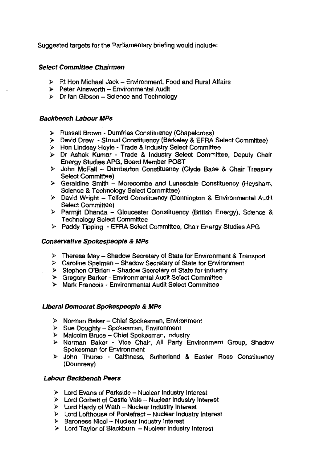Suggested targets for the Parliamentary briefing would include:

#### Select Committee Chairmen

- $\triangleright$  Rt Hon Michael Jack Environment, Food and Rural Affairs
- l> Peter Ainsworth Environmental Audit
- $\triangleright$  Dr Ian Gibson Science and Technology

#### Backbench Labour MPs

- l> Russell Brown Dumfries Constituency (Chapelcross)
- l> Devid Drew Stroud Constituency (BerKeley & EFRA Select Committee)
- l> Hon Lindsay Hoyle Trade & Industry Select Committee
- )- Dr Ashok Kumar Trade & Industry Select Committee, Deputy Chair Energy Stuoles APG, Board Member POST
- $\triangleright$  John McFall Dumbarton Constituency (Clyde Base & Chair Treasury Select Committee)
- $\triangleright$  Geraldine Smith Morecombe and Lunesdale Constituency (Heysham, Science & Technology Select Committee)
- l> David Wright Telford Constituency (Donnington & Environmental Audit Select Committee)
- > Parmit Dhanda Gloucester Constituency (British Energy), Science & Technology Select Committee
- )- Paddy TIpping EFRA Select Committee, Chair Energy Studies APG

#### Conservative Spokespeople & MPs

- l> Theresa May Shadow Secretary of State for Environment & Transport
- $\triangleright$  Caroline Spelman Shadow Secretary of State for Environment
- $\triangleright$  Stephen O'Brien Shadow Secretary of State for industry
- > Gregory Barker Environmental Audit Select Committee
- > Mark Francois Environmental Audit Select Committee

#### Liberal Democrat Spokespeople & MPs

- l> Norman Baker Chief Spokesman, Environment
- $\triangleright$  Sue Doughty Spokesman, Environment
- $\triangleright$  Malcolm Bruce Chief Spokesman, Industry
- l> Norman Baker Vice Chair, All Party Environment Group, Shadow Spokesman for Environment
- l> John Thumo Caithness, Sutherland & Easter Ross Constituency (Dounreay)

#### Labour Backbench Peers

- $\triangleright$  Lord Evans of Parkside Nuclear Industry Interest
- l> Lord Corbett of Castle Vale Nuclear Industry Interest
- $\triangleright$  Lord Hardy of Wath Nuclear Industry Interest
- $\triangleright$  Lord Lofthouse of Pontefract Nuclear Industry Interest
- l> Baroness Nicol- Nuclear Industry Interest
- $\triangleright$  Lord Taylor of Blackburn Nuclear Industry Interest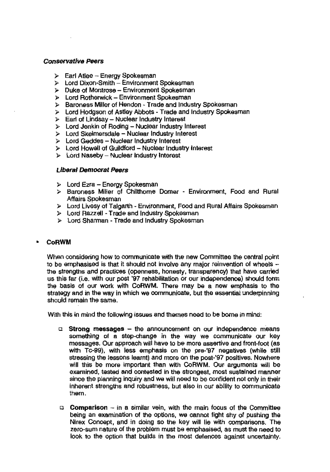#### Conservative Peers

- $\triangleright$  Earl Atlee Energy Spokesman
- }> Lord Dixon-Smith Environment Spokesman
- $\triangleright$  Duke of Montrose Environment Spokesman
- > Lord Rotherwick Environment Spokesman
- }> Baroness Miller of Hendon Trade and Industry Spokesman
- > Lord Hodgson of Astley Abbots Trade and Industry Spokesman
- }> Earl of Lindsay Nuclear Industry Interest
- $\triangleright$  Lord Jenkin of Roding Nuclear Industry Interest
- > Lord Skeimersdale Nuclear Industry Interest
- $\triangleright$  Lord Geddes Nuclear Industry Interest
- $\triangleright$  Lord Howell of Guildford Nuclear Industry Interest
- $\triangleright$  Lord Naseby Nuclear industry Interest

#### Liberal Democrat Peers

- }- Lord Ezra Energy Spokesman
- }> Baroness Miller 01 Chllthome Domer Environment. Food and Rural Affairs Spokesman
- }> Lord Livesy of Talgarth Environment, Food and Rural Affairs Spokesman
- $\triangleright$  Lord Razzell Trade and Industry Spokesman
- }> Lord Sharman Trade and Industry Spokesman

#### • CoRWM

When considering how to communicate with the new Committee the central point to be emphasised is that it should not involve any major reinvention of wheels  $$ the strengths and practices (openness, honesty, transparency) that have carried us this far (i.e. with our post '97 rehabilitation or our independence) should fonn the basis of our work with CoRWM. There may be a new emphasis to the strategy and in the way in which we communicate, but the essential underpinning should remain the same.

With this in mind the following issues and themes need to be borne in mind:

- $\Box$  Strong messages the announcement on our independence means something of a step-change in the way we communicate our key messages. Our approach will have to be more assertive and front-foot (as with Tc-99), with less emphasis on the pre-'97 negatives (while still stressing the lessons learnt) and more on the post-'97 posltivas. Nowhere will this be more important than with CoRWM. Our arguments will be examined. tested and contested in the strongest, most sustained manner since the planning inquiry and we will need to be Confident not only in their inherent strengths and robustness, but also In our ability to communicate them.
- $\Box$  Comparison in a similar vein, with the main focus of the Committee being an examination of the options, we cannot fight shy of pushing the Nirex Concept, and in doing so the key will lie with comparisons. The zero-sum nature of the problem must be emphasised, as must the need to look to the option that builds in the most defences against uncertainty.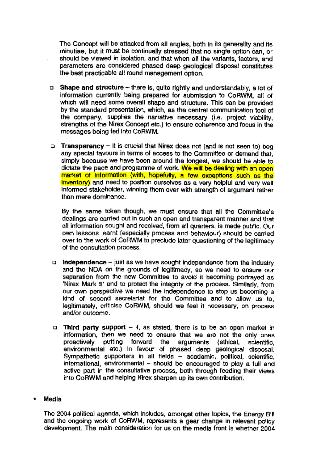The Concept will be attacked from all angles, both In its generality and its minutiae, but it must be continually stressed that no single option can, or should be viewed in isolation, and that when all the variants, factors, and parameters are considered phased deep geological disposal constitutes the best practicable all round management option,

- □ Shape and structure there is, quite rightly and understandably, a lot of information ourrently being prepared for submission to CoRWM, all of which will need soma overall shape and structure, This can be providad by the standard presentation, which, as the central communication tool of the company, supplies the narrative necessary (i.e. project viability, strengths of the Nirex Concept etc.) to ensure coherence and focus in the messages being fed into CoRWM.
- **I** Transparency it is crucial that Nirex does not (and is not seen to) beg any special favours in terms of access to the Committee or demand that, simply because we have been around the longest, we should be able to dictate the pace and programme of work. We will be dealing with an open market of Information (with, hopefully, a few exceptions such as the inventory) and need to position ourselves as a very helpful and very well informed stakeholder, winning them over with strength of argument rather than mere dominanoe.

By the same token though, we must ensure that all the Cornmittee's dealings are carried out in suoh an open and transparent manner and that all information sought and received, from all quarters, is made public. Our own lessons learnt (especially process and behaviour) should be carried over to the work of CoRWM to preclude later questioning of the legitimacy of the consultation process.

- $\Box$  Independence just as we have sought independence from the industry and the NDA on the grounds of legitimacy, so we need to ensure our separation from the new Committee to avoid it becoming portrayed as 'Nirex Mark II' end to protect the integrity of the process. Similarly, from our own perspective we need the independence to stop us becoming a kind of seoond secretariat for the Committee and to allow us to, legitimately, criticise CoRWM, Should we feel it necessary, on process and/or outcome.
- $\Box$  Third party support If, as stated, there is to be an open market in information, then we need to ensure that we are not the only ones proactively putting forward the arguments (ethical, scientific, environmental etc.) In favour of phased deep geological disposal. Sympathetic supporters in all fields - academic, political, scientific, international, environmental - should be encouraged to play a full and active part in the consultative process, both through feeding their views into CoRWM and helping Nirex sharpen up its own contribution.

#### • Media

The 2004 political agenda, which includes, amongst other topics, the Energy Bill and the ongoing work of CoRWM, represents a gear change in relevant policy development. The main consideration for us on the media front is whether 2004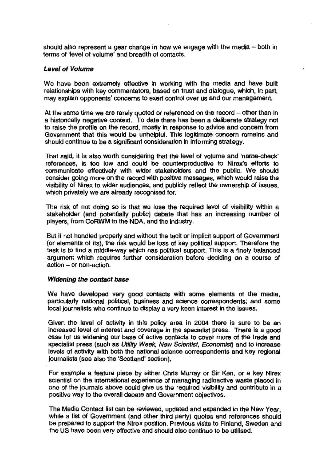should also represent a gear change in how we engage with the media  $-$  both in terms of 'level of volume' and breadth of contacts.

#### Level of Volume

We have been extremely effective in working with the media and have built relationships with key commentators, based on trust and dialogue, which, In part, may explain opponents' concems to exert control over us and our management.

At the same time we are rarely quoted or referenced on the record  $-$  other than in a historically negative context. To date there has been a deliberate strategy not to raise the profile on the record, mostly in response to advice and concem from Government that this would be unhelpful. This legitimate concem remains and should continue to be a significant consideration In Informing strategy.

That said, it Is also worth considering that the level of volume and 'name-check' references, is too low and could be counterproductive to Nirex's efforts to communicate effectively with wider stakeholders and the public. We should consider going more on the record with positive messages, which would raise the visibility of Nirex to wider audiences, and publicly reflect the ownership of issues, which privately we are already recognised for.

The risk of not doing so is that we lose the required level of visibility within a stakeholder (and potentially public) debate that has an increasing number of players, from CoRWM to the NDA, and the indUstry.

But if nol handled property and without the tacit or implicit support of Government (or elements of its), the risk would be loss of key political support. Therefore the task is 10 find a mlddle-way which has political support. This is a finely balanced argument which requires further consideration before deciding on a course of action - or non-action.

#### Widening the contact base

We have developed very good contacts with some elements of the media, particularly nalional political, business and science correspondents; and some local journalists who continue to display a very keen interest in the issues.

Given the level 01 activity in this policy area in 2004 there is sure to be an inoreased level of interest and coverage in the specialist press. There is a good case for us widening our base of active contacts to cover more of the trade and specialist press (such as Utility Week, New Scientist, Economist) and to increase levels of activity with both the national science correspondents and key regional joumalists (see also the 'Scolland' section).

For example a feature piece by either Chris Murray or Sir Ken, or a key Nirex scientist on the international experience of managing radioactive waste placed in one of the journals above could give us the required visibility and contribute in a positive way to the overall debate and Government objectives.

The Media Contact list can be reviewed, updated and expanded in the New Year, while a list of Government (and other third party) quotes and references should be prepared to support the Nirex position. Previous visits to Finland, Sweden and the US have been very effective and should also continua to be utilised.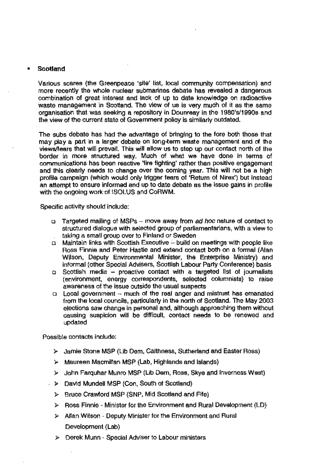#### **• Scotland**

Various scares (the Greenpeace 'site' list, local community compensation) and more recently the whole nuclear submarines debate has revealed a dangerous combination of great interest end lack of up to date knowledge on radioactive waste management in Scotland. The view of us is very much of it as the same organisation that was seeking a repository in Oounreay in the 1980's/1990s and the view of the current state of Government policy is similarly outdated.

The subs debate has had the advantage of bringing to the fore both those that may playa part in a larger debate on long-term waste management and of the viewslfears that will prevail. This will allow us to step up our contact north of the border in more structured way. Much of what we have done in terms of communications has been reactive 'fire fighting' rather than positive engagement and this clearly needs to change over the coming year. This will not be a high profile campaign (which would only trigger fears of 'Return of Nirex') but instead an attempt to ensure Informed and up to date debate as the issue gains in profile with the ongoing work'of ISOLUS and CoRWM.

Specific activity should include:

- $\Box$  Targeted mailing of MSPs move away from ad hoc nature of contact to structured dialogue with selected group of parliamentarians, with a view to taking a small group over to Finland or Sweden
- <sup>Q</sup>Maintain links with Scottish Executive build on meetings with people like Ross Finnie and Peter Hastie and extend contact both on a formal (Alan Wilson, Deputy Environmental Minister, the Enterprise Ministry) and informal (other Special Advisers, Scottish Labour Party Conference) basis
- $\sigma$  Scottish media proactive contact with a targeted list of journalists (environment, energy correspondents, selected columnists) to raise awareness of the issue outside the usual suspects
- $\Box$  Local government  $\sim$  much of the real anger and mistrust has emanated from the local councils, particularly in the north of Scotland. The May 2003 elections saw change in personal and, although approaching them without causing suspicion will be difficult, contact needs to be renewed and updated

POSSible contacts include:

- )- Jamie Stone MSP (Lib Oem, Caithness, Sutherland and Easter Ross)
- .. Maureen Macmiltan MSP (Lab, Highlands and Islands)
- )- John Farquhar Munro MSP (Lib Oem, Ross, Skye and Inverness West)
- » David Mundell MSP (Con, South of Scotland)
	- $\triangleright$  Bruce Crawford MSP (SNP, Mid Scotland and Fife)
	- )- Ross Finnie ~ Minister for the Environment and Rural Development (LO)
	- }> Allan Wilson Deputy Minister for the Environment and Rural Development (Lab)
	- $\triangleright$  Derek Munn Special Adviser to Labour ministers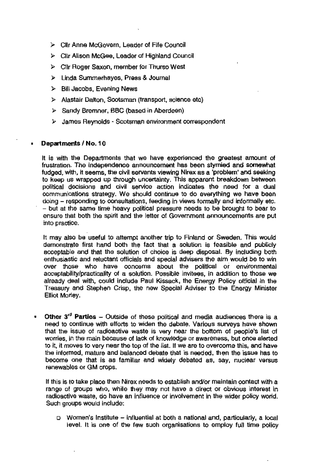- ;. CUr Anne McGovern, Leader of Fife Council
- ).> Cllr Alison McGee, Leader of Highland Council
- );> Cllr Roger Saxon, member for Thurso West
- );> Linda Sumrnerhayes, Press & Journal
- > Bill Jacobs, Evening News
- $\triangleright$  Alastair Dalton, Scotsman (transport, science etc)
- );> Sandy Bremner, BBC (based in Aberdeen)
- );> James Reynolds Scotsman environment correspondent

#### Departments / No. 10

It is with the Departments that we have experiencad the greatest amount of frustration. The Independence announcement has been stymied and somewhat fudged, with, it seems, the civil servants viewing Nlrex as a 'problem' and seeking to keep us wrapped up through uncertainty. This apparent breakdown between political decisions and civil service action indicates the need for a dual communications strategy. We should continue to do everything we have been doing - responding to consultations, feeding in views formally and informally etc. - but at the same time heavy political pressure needs to be brought to bear to ensure that both the spirit and the letter of Govemment announcements are put into practice.

It may also be useful to attempt another trip to Finland or Sweden. This would demonstrate first hand both the fact that a solution is feasible and publicly acceptable and that the solution of choice is deep disposal. By including both enthusiastic and reluctant officials and special advisers the aim would be to win over those who have concerns about the political or environmental acceptability/practicality of a solution. Possible invitees, in addition to those we already deal with, could include Paul Kissack, the Energy Policy official in the Treasury and Stephen Crisp, the new Special Adviser to the Energy Minister Elliot Morley.

• Other  $3<sup>rd</sup>$  Parties – Outside of these political and media audiences there is a nead to continue with efforts to widen the debate. Various surveys have shown that the issue of radioactive waste is very near the bottom of people's list of worries, in the main because of lack of knowledge or awareness, but once alerted to it, it moves to very near the top of the Jist. If we are to overcome this, and have the informed, mature and balanced debate that is needed, then the issue has to become one that Is as familiar and widely debated as, say, nuclear versus renewables or GM crops.

If this is to take place then Nirex needs to establish and/or maintain contact with a range 01 groups who, while they may not have a direct or obvious 'Interest in radioactive waste, do have an influence or inVOlvement in the wider policy worid. Such groups would include:

o Women's Institute - influential at both a national and, particularly, a local level. It is one of the few such organisations to employ full time policy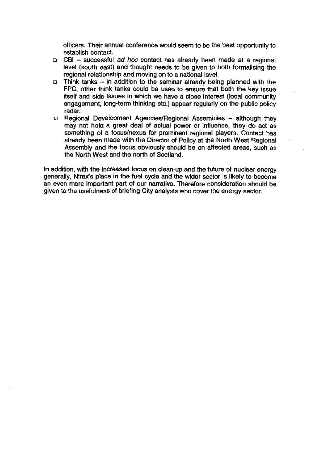officers. Their annual conference would seem to be the best opportunity to establish contact.

- $\Box$  CBI successful ad hoc contact has already been made at a regional level (south east) and thought needs to be given to both formalising the regional relationship and moving en to a national level.
- $\Box$  Think tanks in addition to the seminar already being planned with the FPC, other think tanks could be used to ensure that both the key issue itself and side issues in which we have a close interest (local community engagement, long-term thinking etc.) appear regularly on the public policy radar.
- a Regional Development Agencies/Regional Assemblies although they may not hold a great deal of actual power or influence, they do act as something of a focus/nexus for prominent regional players. Contact has already been made with the Director of Policy at the North West Regional Assembly and the focus obviously should be on affected areas, such as the North West and the north of Scotland.

In addition, with the increased focus on clean-up and the future of nuclear energy generally, Nfrex's place in the fuel cycle and the wider sector Is likely to become an even more important part of our narrative. Therefore consideration should be given to the usefulness of briefing City analysts who cover the energy sector.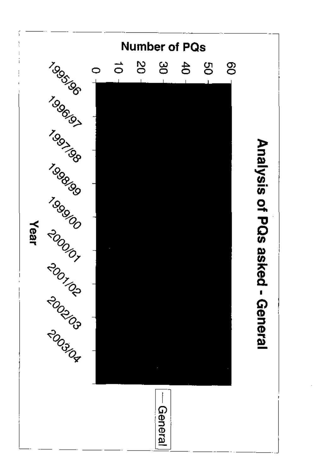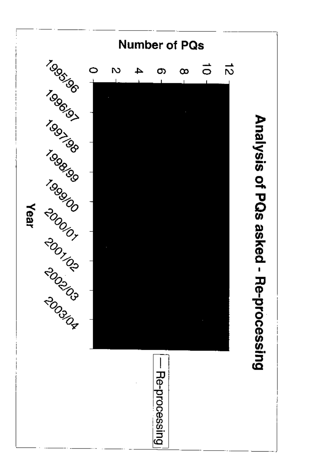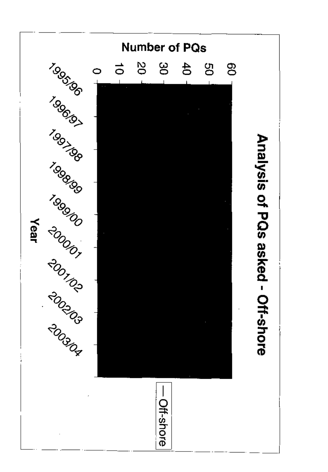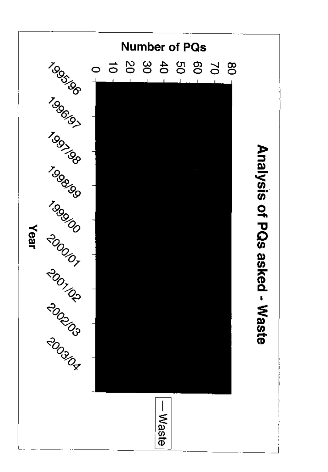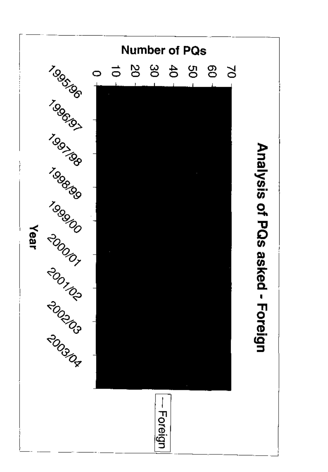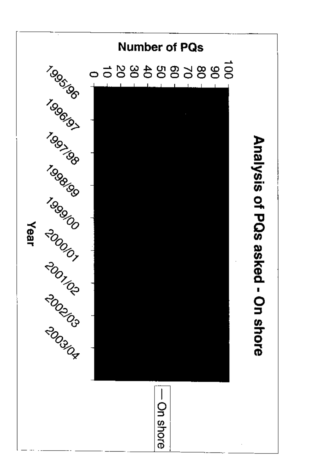![](_page_45_Picture_0.jpeg)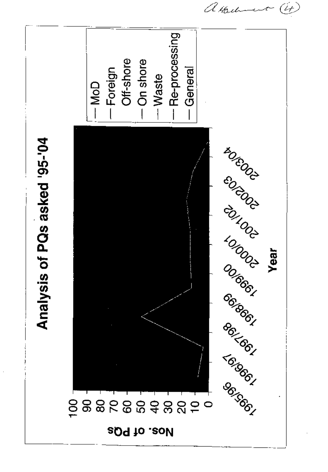![](_page_46_Figure_0.jpeg)

 $\hat{U}_t$ albert